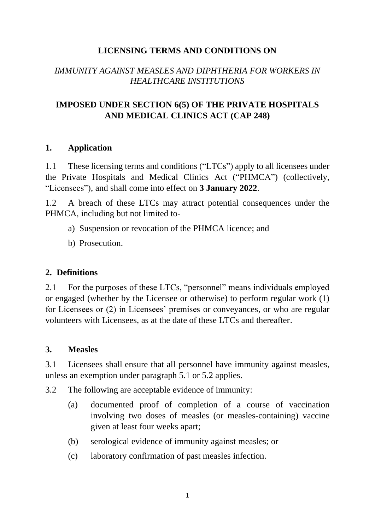## **LICENSING TERMS AND CONDITIONS ON**

## *IMMUNITY AGAINST MEASLES AND DIPHTHERIA FOR WORKERS IN HEALTHCARE INSTITUTIONS*

## **IMPOSED UNDER SECTION 6(5) OF THE PRIVATE HOSPITALS AND MEDICAL CLINICS ACT (CAP 248)**

#### **1. Application**

1.1 These licensing terms and conditions ("LTCs") apply to all licensees under the Private Hospitals and Medical Clinics Act ("PHMCA") (collectively, "Licensees"), and shall come into effect on **3 January 2022**.

1.2 A breach of these LTCs may attract potential consequences under the PHMCA, including but not limited to-

- a) Suspension or revocation of the PHMCA licence; and
- b) Prosecution.

### **2. Definitions**

2.1 For the purposes of these LTCs, "personnel" means individuals employed or engaged (whether by the Licensee or otherwise) to perform regular work (1) for Licensees or (2) in Licensees' premises or conveyances, or who are regular volunteers with Licensees, as at the date of these LTCs and thereafter.

### **3. Measles**

3.1 Licensees shall ensure that all personnel have immunity against measles, unless an exemption under paragraph 5.1 or 5.2 applies.

3.2 The following are acceptable evidence of immunity:

- (a) documented proof of completion of a course of vaccination involving two doses of measles (or measles-containing) vaccine given at least four weeks apart;
- (b) serological evidence of immunity against measles; or
- (c) laboratory confirmation of past measles infection.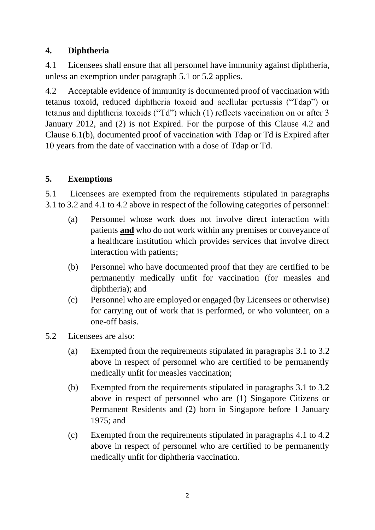## **4. Diphtheria**

4.1 Licensees shall ensure that all personnel have immunity against diphtheria, unless an exemption under paragraph 5.1 or 5.2 applies.

4.2 Acceptable evidence of immunity is documented proof of vaccination with tetanus toxoid, reduced diphtheria toxoid and acellular pertussis ("Tdap") or tetanus and diphtheria toxoids ("Td") which (1) reflects vaccination on or after 3 January 2012, and (2) is not Expired. For the purpose of this Clause 4.2 and Clause 6.1(b), documented proof of vaccination with Tdap or Td is Expired after 10 years from the date of vaccination with a dose of Tdap or Td.

# **5. Exemptions**

5.1 Licensees are exempted from the requirements stipulated in paragraphs 3.1 to 3.2 and 4.1 to 4.2 above in respect of the following categories of personnel:

- (a) Personnel whose work does not involve direct interaction with patients **and** who do not work within any premises or conveyance of a healthcare institution which provides services that involve direct interaction with patients;
- (b) Personnel who have documented proof that they are certified to be permanently medically unfit for vaccination (for measles and diphtheria); and
- (c) Personnel who are employed or engaged (by Licensees or otherwise) for carrying out of work that is performed, or who volunteer, on a one-off basis.
- 5.2 Licensees are also:
	- (a) Exempted from the requirements stipulated in paragraphs 3.1 to 3.2 above in respect of personnel who are certified to be permanently medically unfit for measles vaccination;
	- (b) Exempted from the requirements stipulated in paragraphs 3.1 to 3.2 above in respect of personnel who are (1) Singapore Citizens or Permanent Residents and (2) born in Singapore before 1 January 1975; and
	- (c) Exempted from the requirements stipulated in paragraphs 4.1 to 4.2 above in respect of personnel who are certified to be permanently medically unfit for diphtheria vaccination.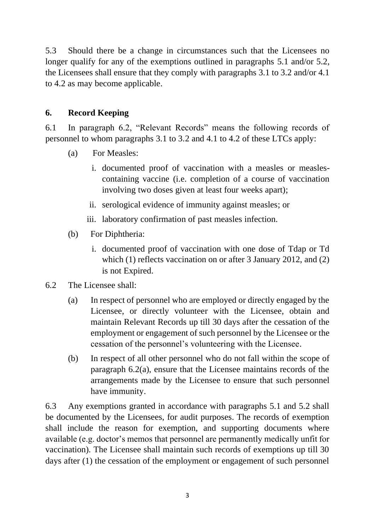5.3 Should there be a change in circumstances such that the Licensees no longer qualify for any of the exemptions outlined in paragraphs 5.1 and/or 5.2, the Licensees shall ensure that they comply with paragraphs 3.1 to 3.2 and/or 4.1 to 4.2 as may become applicable.

## **6. Record Keeping**

6.1 In paragraph 6.2, "Relevant Records" means the following records of personnel to whom paragraphs 3.1 to 3.2 and 4.1 to 4.2 of these LTCs apply:

- (a) For Measles:
	- i. documented proof of vaccination with a measles or measlescontaining vaccine (i.e. completion of a course of vaccination involving two doses given at least four weeks apart);
	- ii. serological evidence of immunity against measles; or
	- iii. laboratory confirmation of past measles infection.
- (b) For Diphtheria:
	- i. documented proof of vaccination with one dose of Tdap or Td which (1) reflects vaccination on or after 3 January 2012, and (2) is not Expired.
- 6.2 The Licensee shall:
	- (a) In respect of personnel who are employed or directly engaged by the Licensee, or directly volunteer with the Licensee, obtain and maintain Relevant Records up till 30 days after the cessation of the employment or engagement of such personnel by the Licensee or the cessation of the personnel's volunteering with the Licensee.
	- (b) In respect of all other personnel who do not fall within the scope of paragraph 6.2(a), ensure that the Licensee maintains records of the arrangements made by the Licensee to ensure that such personnel have immunity.

6.3 Any exemptions granted in accordance with paragraphs 5.1 and 5.2 shall be documented by the Licensees, for audit purposes. The records of exemption shall include the reason for exemption, and supporting documents where available (e.g. doctor's memos that personnel are permanently medically unfit for vaccination). The Licensee shall maintain such records of exemptions up till 30 days after (1) the cessation of the employment or engagement of such personnel